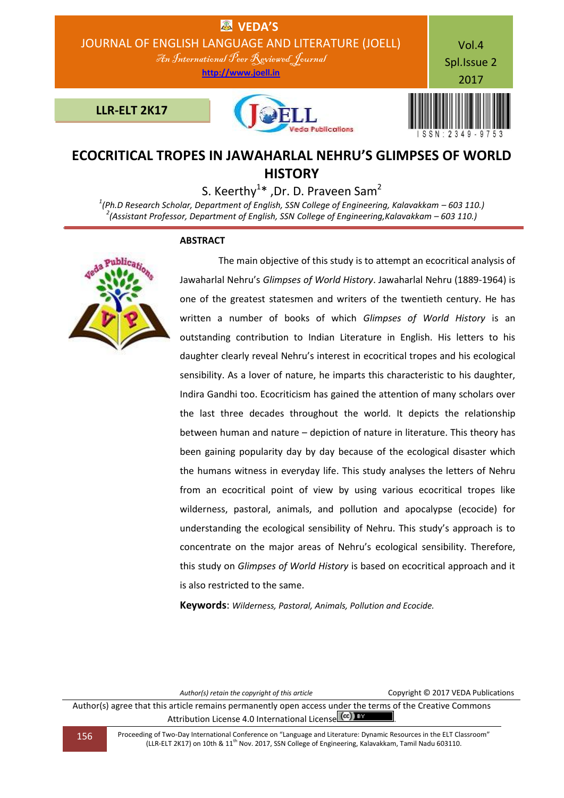

# **ECOCRITICAL TROPES IN JAWAHARLAL NEHRU'S GLIMPSES OF WORLD HISTORY**

S. Keerthy<sup>1\*</sup>, Dr. D. Praveen Sam<sup>2</sup>

<sup>1</sup>(Ph.D Research Scholar, Department of English, SSN College of Engineering, Kalavakkam – 603 110.) *2 (Assistant Professor, Department of English, SSN College of Engineering,Kalavakkam – 603 110.)*

## **ABSTRACT**



 The main objective of this study is to attempt an ecocritical analysis of Jawaharlal Nehru's *Glimpses of World History*. Jawaharlal Nehru (1889-1964) is one of the greatest statesmen and writers of the twentieth century. He has written a number of books of which *Glimpses of World History* is an outstanding contribution to Indian Literature in English. His letters to his daughter clearly reveal Nehru's interest in ecocritical tropes and his ecological sensibility. As a lover of nature, he imparts this characteristic to his daughter, Indira Gandhi too. Ecocriticism has gained the attention of many scholars over the last three decades throughout the world. It depicts the relationship between human and nature – depiction of nature in literature. This theory has been gaining popularity day by day because of the ecological disaster which the humans witness in everyday life. This study analyses the letters of Nehru from an ecocritical point of view by using various ecocritical tropes like wilderness, pastoral, animals, and pollution and apocalypse (ecocide) for understanding the ecological sensibility of Nehru. This study's approach is to concentrate on the major areas of Nehru's ecological sensibility. Therefore, this study on *Glimpses of World History* is based on ecocritical approach and it is also restricted to the same.

**Keywords**: *Wilderness, Pastoral, Animals, Pollution and Ecocide.*

*Author(s) retain the copyright of this article* Copyright © 2017 VEDA Publications

Author(s) agree that this article remains permanently open access under the terms of the Creative Commons Attribution License 4.0 International License (cc) BY

156 Proceeding of Two-Day International Conference on "Language and Literature: Dynamic Resources in the ELT Classroom" (LLR-ELT 2K17) on 10th & 11th Nov. 2017, SSN College of Engineering, Kalavakkam, Tamil Nadu 603110.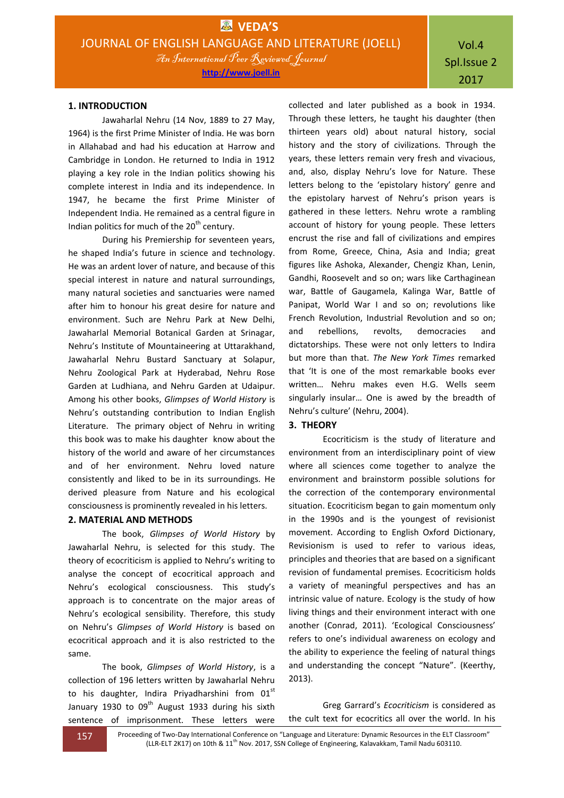### **1. INTRODUCTION**

Jawaharlal Nehru (14 Nov, 1889 to 27 May, 1964) is the first Prime Minister of India. He was born in Allahabad and had his education at Harrow and Cambridge in London. He returned to India in 1912 playing a key role in the Indian politics showing his complete interest in India and its independence. In 1947, he became the first Prime Minister of Independent India. He remained as a central figure in Indian politics for much of the  $20<sup>th</sup>$  century.

During his Premiership for seventeen years, he shaped India's future in science and technology. He was an ardent lover of nature, and because of this special interest in nature and natural surroundings, many natural societies and sanctuaries were named after him to honour his great desire for nature and environment. Such are Nehru Park at New Delhi, Jawaharlal Memorial Botanical Garden at Srinagar, Nehru's Institute of Mountaineering at Uttarakhand, Jawaharlal Nehru Bustard Sanctuary at Solapur, Nehru Zoological Park at Hyderabad, Nehru Rose Garden at Ludhiana, and Nehru Garden at Udaipur. Among his other books, *Glimpses of World History* is Nehru's outstanding contribution to Indian English Literature. The primary object of Nehru in writing this book was to make his daughter know about the history of the world and aware of her circumstances and of her environment. Nehru loved nature consistently and liked to be in its surroundings. He derived pleasure from Nature and his ecological consciousness is prominently revealed in his letters.

### **2. MATERIAL AND METHODS**

The book, *Glimpses of World History* by Jawaharlal Nehru, is selected for this study. The theory of ecocriticism is applied to Nehru's writing to analyse the concept of ecocritical approach and Nehru's ecological consciousness. This study's approach is to concentrate on the major areas of Nehru's ecological sensibility. Therefore, this study on Nehru's *Glimpses of World History* is based on ecocritical approach and it is also restricted to the same.

The book, *Glimpses of World History*, is a collection of 196 letters written by Jawaharlal Nehru to his daughter, Indira Priyadharshini from  $01<sup>st</sup>$ January 1930 to  $09<sup>th</sup>$  August 1933 during his sixth sentence of imprisonment. These letters were collected and later published as a book in 1934. Through these letters, he taught his daughter (then thirteen years old) about natural history, social history and the story of civilizations. Through the years, these letters remain very fresh and vivacious, and, also, display Nehru's love for Nature. These letters belong to the 'epistolary history' genre and the epistolary harvest of Nehru's prison years is gathered in these letters. Nehru wrote a rambling account of history for young people. These letters encrust the rise and fall of civilizations and empires from Rome, Greece, China, Asia and India; great figures like Ashoka, Alexander, Chengiz Khan, Lenin, Gandhi, Roosevelt and so on; wars like Carthaginean war, Battle of Gaugamela, Kalinga War, Battle of Panipat, World War I and so on; revolutions like French Revolution, Industrial Revolution and so on; and rebellions, revolts, democracies and dictatorships. These were not only letters to Indira but more than that. *The New York Times* remarked that 'It is one of the most remarkable books ever written… Nehru makes even H.G. Wells seem singularly insular… One is awed by the breadth of Nehru's culture' (Nehru, 2004).

#### **3. THEORY**

Ecocriticism is the study of literature and environment from an interdisciplinary point of view where all sciences come together to analyze the environment and brainstorm possible solutions for the correction of the contemporary environmental situation. Ecocriticism began to gain momentum only in the 1990s and is the youngest of revisionist movement. According to English Oxford Dictionary, Revisionism is used to refer to various ideas, principles and theories that are based on a significant revision of fundamental premises. Ecocriticism holds a variety of meaningful perspectives and has an intrinsic value of nature. Ecology is the study of how living things and their environment interact with one another (Conrad, 2011). 'Ecological Consciousness' refers to one's individual awareness on ecology and the ability to experience the feeling of natural things and understanding the concept "Nature". (Keerthy, 2013).

Greg Garrard's *Ecocriticism* is considered as the cult text for ecocritics all over the world. In his

157 Proceeding of Two-Day International Conference on "Language and Literature: Dynamic Resources in the ELT Classroom" (LLR-ELT 2K17) on 10th & 11<sup>th</sup> Nov. 2017, SSN College of Engineering, Kalavakkam, Tamil Nadu 603110.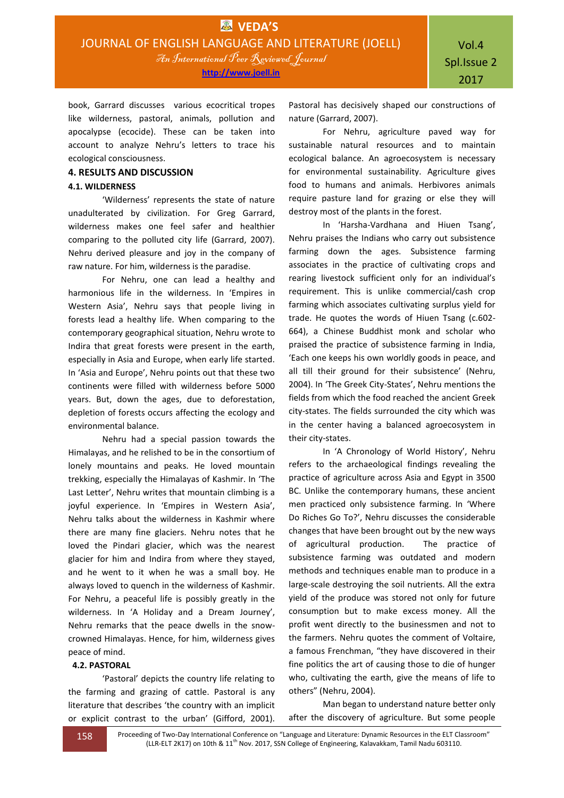book, Garrard discusses various ecocritical tropes like wilderness, pastoral, animals, pollution and apocalypse (ecocide). These can be taken into account to analyze Nehru's letters to trace his ecological consciousness.

### **4. RESULTS AND DISCUSSION**

### **4.1. WILDERNESS**

'Wilderness' represents the state of nature unadulterated by civilization. For Greg Garrard, wilderness makes one feel safer and healthier comparing to the polluted city life (Garrard, 2007). Nehru derived pleasure and joy in the company of raw nature. For him, wilderness is the paradise.

For Nehru, one can lead a healthy and harmonious life in the wilderness. In 'Empires in Western Asia', Nehru says that people living in forests lead a healthy life. When comparing to the contemporary geographical situation, Nehru wrote to Indira that great forests were present in the earth, especially in Asia and Europe, when early life started. In 'Asia and Europe', Nehru points out that these two continents were filled with wilderness before 5000 years. But, down the ages, due to deforestation, depletion of forests occurs affecting the ecology and environmental balance.

Nehru had a special passion towards the Himalayas, and he relished to be in the consortium of lonely mountains and peaks. He loved mountain trekking, especially the Himalayas of Kashmir. In 'The Last Letter', Nehru writes that mountain climbing is a joyful experience. In 'Empires in Western Asia', Nehru talks about the wilderness in Kashmir where there are many fine glaciers. Nehru notes that he loved the Pindari glacier, which was the nearest glacier for him and Indira from where they stayed, and he went to it when he was a small boy. He always loved to quench in the wilderness of Kashmir. For Nehru, a peaceful life is possibly greatly in the wilderness. In 'A Holiday and a Dream Journey', Nehru remarks that the peace dwells in the snowcrowned Himalayas. Hence, for him, wilderness gives peace of mind.

### **4.2. PASTORAL**

'Pastoral' depicts the country life relating to the farming and grazing of cattle. Pastoral is any literature that describes 'the country with an implicit or explicit contrast to the urban' (Gifford, 2001).

Pastoral has decisively shaped our constructions of nature (Garrard, 2007).

For Nehru, agriculture paved way for sustainable natural resources and to maintain ecological balance. An agroecosystem is necessary for environmental sustainability. Agriculture gives food to humans and animals. Herbivores animals require pasture land for grazing or else they will destroy most of the plants in the forest.

In 'Harsha-Vardhana and Hiuen Tsang', Nehru praises the Indians who carry out subsistence farming down the ages. Subsistence farming associates in the practice of cultivating crops and rearing livestock sufficient only for an individual's requirement. This is unlike commercial/cash crop farming which associates cultivating surplus yield for trade. He quotes the words of Hiuen Tsang (c.602- 664), a Chinese Buddhist monk and scholar who praised the practice of subsistence farming in India, 'Each one keeps his own worldly goods in peace, and all till their ground for their subsistence' (Nehru, 2004). In 'The Greek City-States', Nehru mentions the fields from which the food reached the ancient Greek city-states. The fields surrounded the city which was in the center having a balanced agroecosystem in their city-states.

In 'A Chronology of World History', Nehru refers to the archaeological findings revealing the practice of agriculture across Asia and Egypt in 3500 BC. Unlike the contemporary humans, these ancient men practiced only subsistence farming. In 'Where Do Riches Go To?', Nehru discusses the considerable changes that have been brought out by the new ways of agricultural production. The practice of subsistence farming was outdated and modern methods and techniques enable man to produce in a large-scale destroying the soil nutrients. All the extra yield of the produce was stored not only for future consumption but to make excess money. All the profit went directly to the businessmen and not to the farmers. Nehru quotes the comment of Voltaire, a famous Frenchman, "they have discovered in their fine politics the art of causing those to die of hunger who, cultivating the earth, give the means of life to others" (Nehru, 2004).

Man began to understand nature better only after the discovery of agriculture. But some people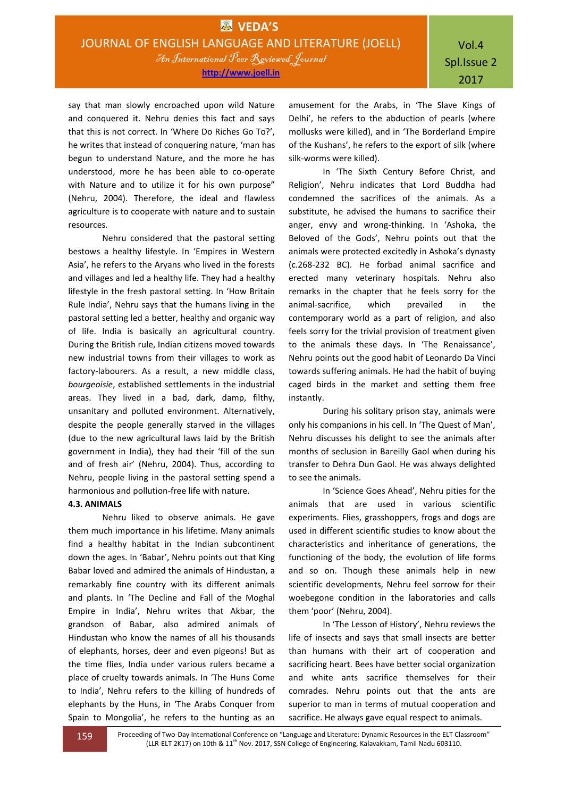say that man slowly encroached upon wild Nature and conquered it. Nehru denies this fact and says that this is not correct. In 'Where Do Riches Go To?', he writes that instead of conquering nature, 'man has begun to understand Nature, and the more he has understood, more he has been able to co-operate with Nature and to utilize it for his own purpose" (Nehru, 2004). Therefore, the ideal and flawless agriculture is to cooperate with nature and to sustain resources.

Nehru considered that the pastoral setting bestows a healthy lifestyle. In 'Empires in Western Asia', he refers to the Aryans who lived in the forests and villages and led a healthy life. They had a healthy lifestyle in the fresh pastoral setting. In 'How Britain Rule India', Nehru says that the humans living in the pastoral setting led a better, healthy and organic way of life. India is basically an agricultural country. During the British rule, Indian citizens moved towards new industrial towns from their villages to work as factory-labourers. As a result, a new middle class, *bourgeoisie*, established settlements in the industrial areas. They lived in a bad, dark, damp, filthy, unsanitary and polluted environment. Alternatively, despite the people generally starved in the villages (due to the new agricultural laws laid by the British government in India), they had their 'fill of the sun and of fresh air' (Nehru, 2004). Thus, according to Nehru, people living in the pastoral setting spend a harmonious and pollution-free life with nature.

### **4.3. ANIMALS**

Nehru liked to observe animals. He gave them much importance in his lifetime. Many animals find a healthy habitat in the Indian subcontinent down the ages. In 'Babar', Nehru points out that King Babar loved and admired the animals of Hindustan, a remarkably fine country with its different animals and plants. In 'The Decline and Fall of the Moghal Empire in India', Nehru writes that Akbar, the grandson of Babar, also admired animals of Hindustan who know the names of all his thousands of elephants, horses, deer and even pigeons! But as the time flies, India under various rulers became a place of cruelty towards animals. In 'The Huns Come to India', Nehru refers to the killing of hundreds of elephants by the Huns, in 'The Arabs Conquer from Spain to Mongolia', he refers to the hunting as an amusement for the Arabs, in 'The Slave Kings of Delhi', he refers to the abduction of pearls (where mollusks were killed), and in 'The Borderland Empire of the Kushans', he refers to the export of silk (where silk-worms were killed).

In 'The Sixth Century Before Christ, and Religion', Nehru indicates that Lord Buddha had condemned the sacrifices of the animals. As a substitute, he advised the humans to sacrifice their anger, envy and wrong-thinking. In 'Ashoka, the Beloved of the Gods', Nehru points out that the animals were protected excitedly in Ashoka's dynasty (c.268-232 BC). He forbad animal sacrifice and erected many veterinary hospitals. Nehru also remarks in the chapter that he feels sorry for the animal-sacrifice, which prevailed in the contemporary world as a part of religion, and also feels sorry for the trivial provision of treatment given to the animals these days. In 'The Renaissance', Nehru points out the good habit of Leonardo Da Vinci towards suffering animals. He had the habit of buying caged birds in the market and setting them free instantly.

During his solitary prison stay, animals were only his companions in his cell. In 'The Quest of Man', Nehru discusses his delight to see the animals after months of seclusion in Bareilly Gaol when during his transfer to Dehra Dun Gaol. He was always delighted to see the animals.

In 'Science Goes Ahead', Nehru pities for the animals that are used in various scientific experiments. Flies, grasshoppers, frogs and dogs are used in different scientific studies to know about the characteristics and inheritance of generations, the functioning of the body, the evolution of life forms and so on. Though these animals help in new scientific developments, Nehru feel sorrow for their woebegone condition in the laboratories and calls them 'poor' (Nehru, 2004).

In 'The Lesson of History', Nehru reviews the life of insects and says that small insects are better than humans with their art of cooperation and sacrificing heart. Bees have better social organization and white ants sacrifice themselves for their comrades. Nehru points out that the ants are superior to man in terms of mutual cooperation and sacrifice. He always gave equal respect to animals.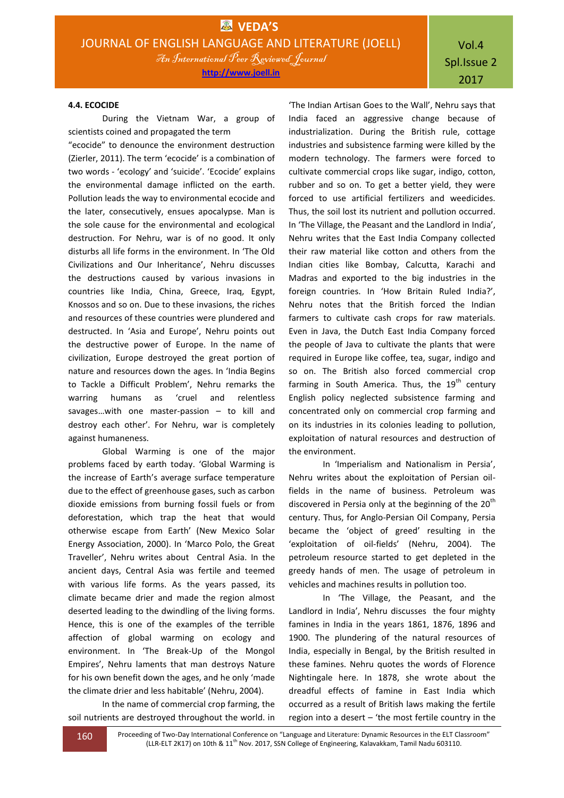# Vol.4 Spl.Issue 2 2017

### **4.4. ECOCIDE**

During the Vietnam War, a group of scientists coined and propagated the term

"ecocide" to denounce the environment destruction (Zierler, 2011). The term 'ecocide' is a combination of two words - 'ecology' and 'suicide'. 'Ecocide' explains the environmental damage inflicted on the earth. Pollution leads the way to environmental ecocide and the later, consecutively, ensues apocalypse. Man is the sole cause for the environmental and ecological destruction. For Nehru, war is of no good. It only disturbs all life forms in the environment. In 'The Old Civilizations and Our Inheritance', Nehru discusses the destructions caused by various invasions in countries like India, China, Greece, Iraq, Egypt, Knossos and so on. Due to these invasions, the riches and resources of these countries were plundered and destructed. In 'Asia and Europe', Nehru points out the destructive power of Europe. In the name of civilization, Europe destroyed the great portion of nature and resources down the ages. In 'India Begins to Tackle a Difficult Problem', Nehru remarks the warring humans as 'cruel and relentless savages…with one master-passion – to kill and destroy each other'. For Nehru, war is completely against humaneness.

Global Warming is one of the major problems faced by earth today. 'Global Warming is the increase of Earth's average surface temperature due to the effect of greenhouse gases, such as carbon dioxide emissions from burning fossil fuels or from deforestation, which trap the heat that would otherwise escape from Earth' (New Mexico Solar Energy Association, 2000). In 'Marco Polo, the Great Traveller', Nehru writes about Central Asia. In the ancient days, Central Asia was fertile and teemed with various life forms. As the years passed, its climate became drier and made the region almost deserted leading to the dwindling of the living forms. Hence, this is one of the examples of the terrible affection of global warming on ecology and environment. In 'The Break-Up of the Mongol Empires', Nehru laments that man destroys Nature for his own benefit down the ages, and he only 'made the climate drier and less habitable' (Nehru, 2004).

In the name of commercial crop farming, the soil nutrients are destroyed throughout the world. in

'The Indian Artisan Goes to the Wall', Nehru says that India faced an aggressive change because of industrialization. During the British rule, cottage industries and subsistence farming were killed by the modern technology. The farmers were forced to cultivate commercial crops like sugar, indigo, cotton, rubber and so on. To get a better yield, they were forced to use artificial fertilizers and weedicides. Thus, the soil lost its nutrient and pollution occurred. In 'The Village, the Peasant and the Landlord in India', Nehru writes that the East India Company collected their raw material like cotton and others from the Indian cities like Bombay, Calcutta, Karachi and Madras and exported to the big industries in the foreign countries. In 'How Britain Ruled India?', Nehru notes that the British forced the Indian farmers to cultivate cash crops for raw materials. Even in Java, the Dutch East India Company forced the people of Java to cultivate the plants that were required in Europe like coffee, tea, sugar, indigo and so on. The British also forced commercial crop farming in South America. Thus, the  $19<sup>th</sup>$  century English policy neglected subsistence farming and concentrated only on commercial crop farming and on its industries in its colonies leading to pollution, exploitation of natural resources and destruction of the environment.

In 'Imperialism and Nationalism in Persia', Nehru writes about the exploitation of Persian oilfields in the name of business. Petroleum was discovered in Persia only at the beginning of the 20<sup>th</sup> century. Thus, for Anglo-Persian Oil Company, Persia became the 'object of greed' resulting in the 'exploitation of oil-fields' (Nehru, 2004). The petroleum resource started to get depleted in the greedy hands of men. The usage of petroleum in vehicles and machines results in pollution too.

In 'The Village, the Peasant, and the Landlord in India', Nehru discusses the four mighty famines in India in the years 1861, 1876, 1896 and 1900. The plundering of the natural resources of India, especially in Bengal, by the British resulted in these famines. Nehru quotes the words of Florence Nightingale here. In 1878, she wrote about the dreadful effects of famine in East India which occurred as a result of British laws making the fertile region into a desert – 'the most fertile country in the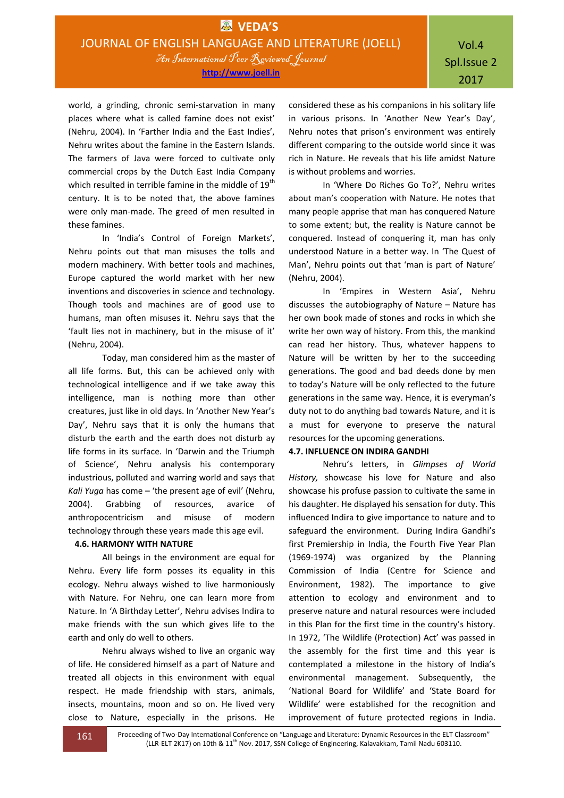world, a grinding, chronic semi-starvation in many places where what is called famine does not exist' (Nehru, 2004). In 'Farther India and the East Indies', Nehru writes about the famine in the Eastern Islands. The farmers of Java were forced to cultivate only commercial crops by the Dutch East India Company which resulted in terrible famine in the middle of  $19<sup>th</sup>$ century. It is to be noted that, the above famines were only man-made. The greed of men resulted in these famines.

In 'India's Control of Foreign Markets', Nehru points out that man misuses the tolls and modern machinery. With better tools and machines, Europe captured the world market with her new inventions and discoveries in science and technology. Though tools and machines are of good use to humans, man often misuses it. Nehru says that the 'fault lies not in machinery, but in the misuse of it' (Nehru, 2004).

Today, man considered him as the master of all life forms. But, this can be achieved only with technological intelligence and if we take away this intelligence, man is nothing more than other creatures, just like in old days. In 'Another New Year's Day', Nehru says that it is only the humans that disturb the earth and the earth does not disturb ay life forms in its surface. In 'Darwin and the Triumph of Science', Nehru analysis his contemporary industrious, polluted and warring world and says that *Kali Yuga* has come – 'the present age of evil' (Nehru, 2004). Grabbing of resources, avarice of anthropocentricism and misuse of modern technology through these years made this age evil.

### **4.6. HARMONY WITH NATURE**

All beings in the environment are equal for Nehru. Every life form posses its equality in this ecology. Nehru always wished to live harmoniously with Nature. For Nehru, one can learn more from Nature. In 'A Birthday Letter', Nehru advises Indira to make friends with the sun which gives life to the earth and only do well to others.

Nehru always wished to live an organic way of life. He considered himself as a part of Nature and treated all objects in this environment with equal respect. He made friendship with stars, animals, insects, mountains, moon and so on. He lived very close to Nature, especially in the prisons. He

considered these as his companions in his solitary life in various prisons. In 'Another New Year's Day', Nehru notes that prison's environment was entirely different comparing to the outside world since it was rich in Nature. He reveals that his life amidst Nature is without problems and worries.

In 'Where Do Riches Go To?', Nehru writes about man's cooperation with Nature. He notes that many people apprise that man has conquered Nature to some extent; but, the reality is Nature cannot be conquered. Instead of conquering it, man has only understood Nature in a better way. In 'The Quest of Man', Nehru points out that 'man is part of Nature' (Nehru, 2004).

In 'Empires in Western Asia', Nehru discusses the autobiography of Nature – Nature has her own book made of stones and rocks in which she write her own way of history. From this, the mankind can read her history. Thus, whatever happens to Nature will be written by her to the succeeding generations. The good and bad deeds done by men to today's Nature will be only reflected to the future generations in the same way. Hence, it is everyman's duty not to do anything bad towards Nature, and it is a must for everyone to preserve the natural resources for the upcoming generations.

### **4.7. INFLUENCE ON INDIRA GANDHI**

Nehru's letters, in *Glimpses of World History,* showcase his love for Nature and also showcase his profuse passion to cultivate the same in his daughter. He displayed his sensation for duty. This influenced Indira to give importance to nature and to safeguard the environment. During Indira Gandhi's first Premiership in India, the Fourth Five Year Plan (1969-1974) was organized by the Planning Commission of India (Centre for Science and Environment, 1982). The importance to give attention to ecology and environment and to preserve nature and natural resources were included in this Plan for the first time in the country's history. In 1972, 'The Wildlife (Protection) Act' was passed in the assembly for the first time and this year is contemplated a milestone in the history of India's environmental management. Subsequently, the 'National Board for Wildlife' and 'State Board for Wildlife' were established for the recognition and improvement of future protected regions in India.

161 Proceeding of Two-Day International Conference on "Language and Literature: Dynamic Resources in the ELT Classroom" (LLR-ELT 2K17) on 10th & 11<sup>th</sup> Nov. 2017, SSN College of Engineering, Kalavakkam, Tamil Nadu 603110.